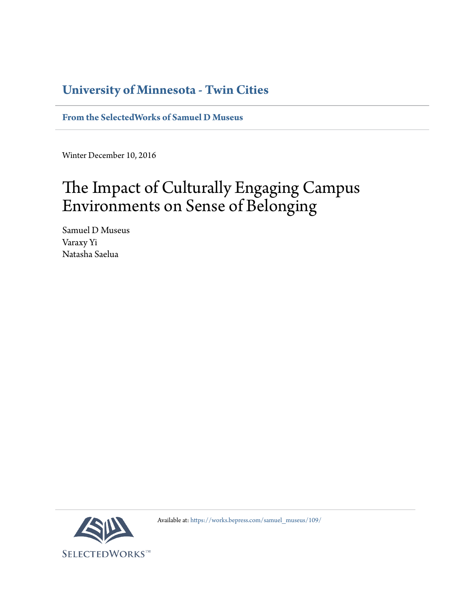# **University of Minnesota - Twin Cities**

**[From the SelectedWorks of Samuel D Museus](https://works.bepress.com/samuel_museus/)**

Winter December 10, 2016

# The Impact of Culturally Engaging Campus Environments on Sense of Belonging

Samuel D Museus Varaxy Yi Natasha Saelua



Available at: [https://works.bepress.com/samuel\\_museus/109/](https://works.bepress.com/samuel_museus/109/)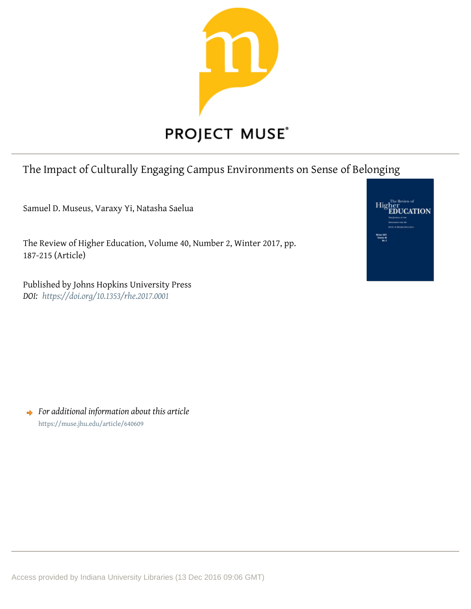

# The Impact of Culturally Engaging Campus Environments on Sense of Belonging

Samuel D. Museus, Varaxy Yi, Natasha Saelua

The Review of Higher Education, Volume 40, Number 2, Winter 2017, pp. 187-215 (Article)

Published by Johns Hopkins University Press **DOI:** https://doi.org/10.1353/rhe.2017.0001



 $\rightarrow$  For additional information about this article https://muse.jhu.edu/article/640609

Access provided by Indiana University Libraries (13 Dec 2016 09:06 GMT)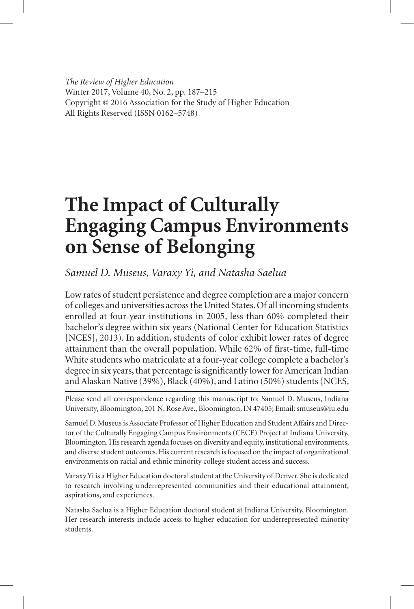*The Review of Higher Education* Winter 2017, Volume 40, No. 2, pp. 187–215 Copyright © 2016 Association for the Study of Higher Education All Rights Reserved (ISSN 0162–5748)

# **The Impact of Culturally Engaging Campus Environments on Sense of Belonging**

*Samuel D. Museus, Varaxy Yi, and Natasha Saelua*

Low rates of student persistence and degree completion are a major concern of colleges and universities across the United States. Of all incoming students enrolled at four-year institutions in 2005, less than 60% completed their bachelor's degree within six years (National Center for Education Statistics [NCES], 2013). In addition, students of color exhibit lower rates of degree attainment than the overall population. While 62% of first-time, full-time White students who matriculate at a four-year college complete a bachelor's degree in six years, that percentage is significantly lower for American Indian and Alaskan Native (39%), Black (40%), and Latino (50%) students (NCES,

Please send all correspondence regarding this manuscript to: Samuel D. Museus, Indiana University, Bloomington, 201 N. Rose Ave., Bloomington, IN 47405; Email: smuseus@iu.edu

Samuel D. Museus is Associate Professor of Higher Education and Student Affairs and Director of the Culturally Engaging Campus Environments (CECE) Project at Indiana University, Bloomington. His research agenda focuses on diversity and equity, institutional environments, and diverse student outcomes. His current research is focused on the impact of organizational environments on racial and ethnic minority college student access and success.

Varaxy Yi is a Higher Education doctoral student at the University of Denver. She is dedicated to research involving underrepresented communities and their educational attainment, aspirations, and experiences.

Natasha Saelua is a Higher Education doctoral student at Indiana University, Bloomington. Her research interests include access to higher education for underrepresented minority students.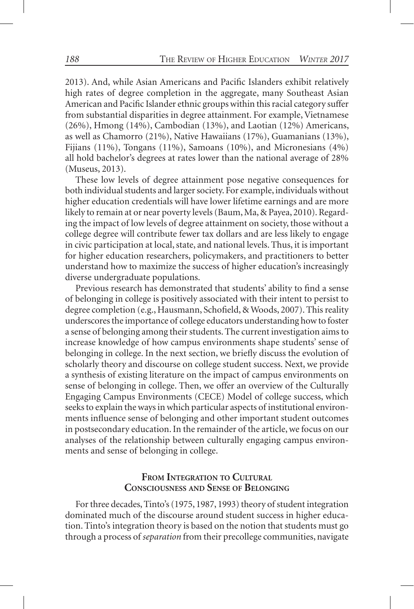2013). And, while Asian Americans and Pacific Islanders exhibit relatively high rates of degree completion in the aggregate, many Southeast Asian American and Pacific Islander ethnic groups within this racial category suffer from substantial disparities in degree attainment. For example, Vietnamese (26%), Hmong (14%), Cambodian (13%), and Laotian (12%) Americans, as well as Chamorro (21%), Native Hawaiians (17%), Guamanians (13%), Fijians (11%), Tongans (11%), Samoans (10%), and Micronesians (4%) all hold bachelor's degrees at rates lower than the national average of 28% (Museus, 2013).

These low levels of degree attainment pose negative consequences for both individual students and larger society. For example, individuals without higher education credentials will have lower lifetime earnings and are more likely to remain at or near poverty levels (Baum, Ma, & Payea, 2010). Regarding the impact of low levels of degree attainment on society, those without a college degree will contribute fewer tax dollars and are less likely to engage in civic participation at local, state, and national levels. Thus, it is important for higher education researchers, policymakers, and practitioners to better understand how to maximize the success of higher education's increasingly diverse undergraduate populations.

Previous research has demonstrated that students' ability to find a sense of belonging in college is positively associated with their intent to persist to degree completion (e.g., Hausmann, Schofield, & Woods, 2007). This reality underscores the importance of college educators understanding how to foster a sense of belonging among their students. The current investigation aims to increase knowledge of how campus environments shape students' sense of belonging in college. In the next section, we briefly discuss the evolution of scholarly theory and discourse on college student success. Next, we provide a synthesis of existing literature on the impact of campus environments on sense of belonging in college. Then, we offer an overview of the Culturally Engaging Campus Environments (CECE) Model of college success, which seeks to explain the ways in which particular aspects of institutional environments influence sense of belonging and other important student outcomes in postsecondary education. In the remainder of the article, we focus on our analyses of the relationship between culturally engaging campus environments and sense of belonging in college.

# **From Integration to Cultural Consciousness and Sense of Belonging**

For three decades, Tinto's (1975, 1987, 1993) theory of student integration dominated much of the discourse around student success in higher education. Tinto's integration theory is based on the notion that students must go through a process of *separation* from their precollege communities, navigate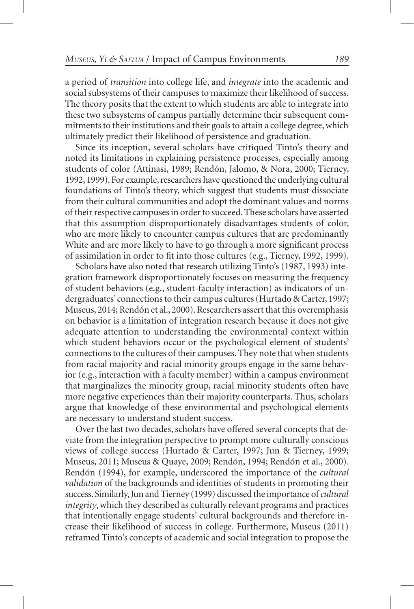a period of *transition* into college life, and *integrate* into the academic and social subsystems of their campuses to maximize their likelihood of success. The theory posits that the extent to which students are able to integrate into these two subsystems of campus partially determine their subsequent commitments to their institutions and their goals to attain a college degree, which ultimately predict their likelihood of persistence and graduation.

Since its inception, several scholars have critiqued Tinto's theory and noted its limitations in explaining persistence processes, especially among students of color (Attinasi, 1989; Rendón, Jalomo, & Nora, 2000; Tierney, 1992, 1999). For example, researchers have questioned the underlying cultural foundations of Tinto's theory, which suggest that students must dissociate from their cultural communities and adopt the dominant values and norms of their respective campuses in order to succeed. These scholars have asserted that this assumption disproportionately disadvantages students of color, who are more likely to encounter campus cultures that are predominantly White and are more likely to have to go through a more significant process of assimilation in order to fit into those cultures (e.g., Tierney, 1992, 1999).

Scholars have also noted that research utilizing Tinto's (1987, 1993) integration framework disproportionately focuses on measuring the frequency of student behaviors (e.g., student-faculty interaction) as indicators of undergraduates' connections to their campus cultures (Hurtado & Carter, 1997; Museus, 2014; Rendón et al., 2000). Researchers assert that this overemphasis on behavior is a limitation of integration research because it does not give adequate attention to understanding the environmental context within which student behaviors occur or the psychological element of students' connections to the cultures of their campuses. They note that when students from racial majority and racial minority groups engage in the same behavior (e.g., interaction with a faculty member) within a campus environment that marginalizes the minority group, racial minority students often have more negative experiences than their majority counterparts. Thus, scholars argue that knowledge of these environmental and psychological elements are necessary to understand student success.

Over the last two decades, scholars have offered several concepts that deviate from the integration perspective to prompt more culturally conscious views of college success (Hurtado & Carter, 1997; Jun & Tierney, 1999; Museus, 2011; Museus & Quaye, 2009; Rendón, 1994; Rendón et al., 2000). Rendón (1994), for example, underscored the importance of the *cultural validation* of the backgrounds and identities of students in promoting their success. Similarly, Jun and Tierney (1999) discussed the importance of *cultural integrity*, which they described as culturally relevant programs and practices that intentionally engage students' cultural backgrounds and therefore increase their likelihood of success in college. Furthermore, Museus (2011) reframed Tinto's concepts of academic and social integration to propose the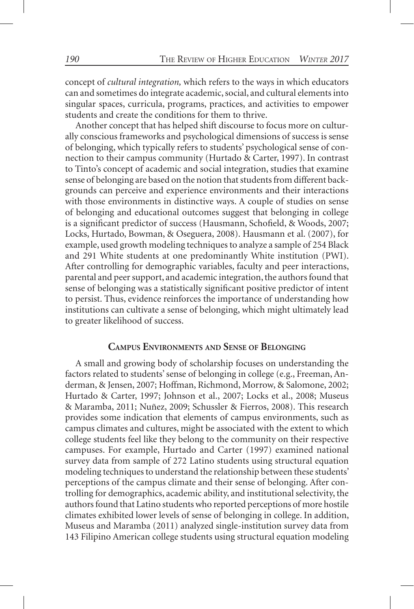concept of *cultural integration,* which refers to the ways in which educators can and sometimes do integrate academic, social, and cultural elements into singular spaces, curricula, programs, practices, and activities to empower students and create the conditions for them to thrive.

Another concept that has helped shift discourse to focus more on culturally conscious frameworks and psychological dimensions of success is sense of belonging, which typically refers to students' psychological sense of connection to their campus community (Hurtado & Carter, 1997). In contrast to Tinto's concept of academic and social integration, studies that examine sense of belonging are based on the notion that students from different backgrounds can perceive and experience environments and their interactions with those environments in distinctive ways. A couple of studies on sense of belonging and educational outcomes suggest that belonging in college is a significant predictor of success (Hausmann, Schofield, & Woods, 2007; Locks, Hurtado, Bowman, & Oseguera, 2008). Hausmann et al. (2007), for example, used growth modeling techniques to analyze a sample of 254 Black and 291 White students at one predominantly White institution (PWI). After controlling for demographic variables, faculty and peer interactions, parental and peer support, and academic integration, the authors found that sense of belonging was a statistically significant positive predictor of intent to persist. Thus, evidence reinforces the importance of understanding how institutions can cultivate a sense of belonging, which might ultimately lead to greater likelihood of success.

#### **Campus Environments and Sense of Belonging**

A small and growing body of scholarship focuses on understanding the factors related to students' sense of belonging in college (e.g., Freeman, Anderman, & Jensen, 2007; Hoffman, Richmond, Morrow, & Salomone, 2002; Hurtado & Carter, 1997; Johnson et al., 2007; Locks et al., 2008; Museus & Maramba, 2011; Nuñez, 2009; Schussler & Fierros, 2008). This research provides some indication that elements of campus environments, such as campus climates and cultures, might be associated with the extent to which college students feel like they belong to the community on their respective campuses. For example, Hurtado and Carter (1997) examined national survey data from sample of 272 Latino students using structural equation modeling techniques to understand the relationship between these students' perceptions of the campus climate and their sense of belonging. After controlling for demographics, academic ability, and institutional selectivity, the authors found that Latino students who reported perceptions of more hostile climates exhibited lower levels of sense of belonging in college. In addition, Museus and Maramba (2011) analyzed single-institution survey data from 143 Filipino American college students using structural equation modeling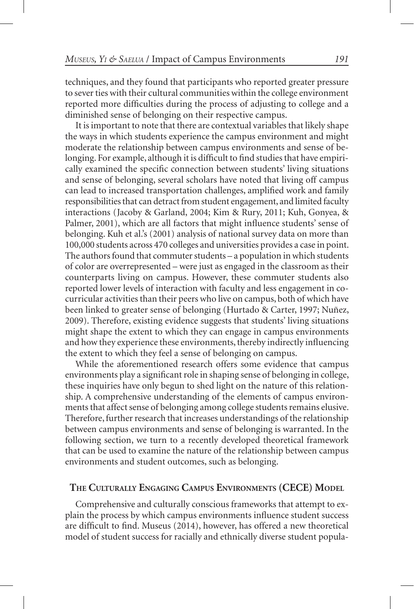techniques, and they found that participants who reported greater pressure to sever ties with their cultural communities within the college environment reported more difficulties during the process of adjusting to college and a diminished sense of belonging on their respective campus.

It is important to note that there are contextual variables that likely shape the ways in which students experience the campus environment and might moderate the relationship between campus environments and sense of belonging. For example, although it is difficult to find studies that have empirically examined the specific connection between students' living situations and sense of belonging, several scholars have noted that living off campus can lead to increased transportation challenges, amplified work and family responsibilities that can detract from student engagement, and limited faculty interactions (Jacoby & Garland, 2004; Kim & Rury, 2011; Kuh, Gonyea, & Palmer, 2001), which are all factors that might influence students' sense of belonging. Kuh et al.'s (2001) analysis of national survey data on more than 100,000 students across 470 colleges and universities provides a case in point. The authors found that commuter students – a population in which students of color are overrepresented – were just as engaged in the classroom as their counterparts living on campus. However, these commuter students also reported lower levels of interaction with faculty and less engagement in cocurricular activities than their peers who live on campus, both of which have been linked to greater sense of belonging (Hurtado & Carter, 1997; Nuñez, 2009). Therefore, existing evidence suggests that students' living situations might shape the extent to which they can engage in campus environments and how they experience these environments, thereby indirectly influencing the extent to which they feel a sense of belonging on campus.

While the aforementioned research offers some evidence that campus environments play a significant role in shaping sense of belonging in college, these inquiries have only begun to shed light on the nature of this relationship. A comprehensive understanding of the elements of campus environments that affect sense of belonging among college students remains elusive. Therefore, further research that increases understandings of the relationship between campus environments and sense of belonging is warranted. In the following section, we turn to a recently developed theoretical framework that can be used to examine the nature of the relationship between campus environments and student outcomes, such as belonging.

# **The Culturally Engaging Campus Environments (CECE) Model**

Comprehensive and culturally conscious frameworks that attempt to explain the process by which campus environments influence student success are difficult to find. Museus (2014), however, has offered a new theoretical model of student success for racially and ethnically diverse student popula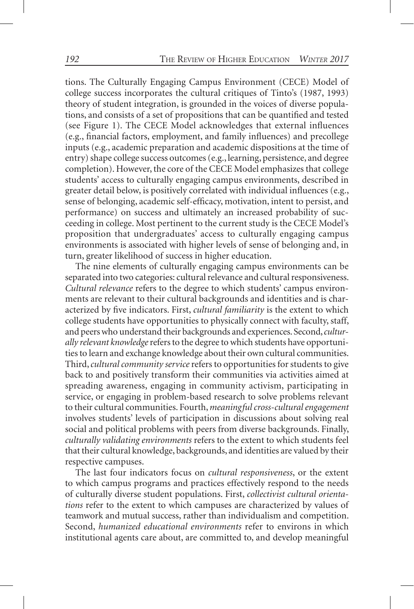tions. The Culturally Engaging Campus Environment (CECE) Model of college success incorporates the cultural critiques of Tinto's (1987, 1993) theory of student integration, is grounded in the voices of diverse populations, and consists of a set of propositions that can be quantified and tested (see Figure 1). The CECE Model acknowledges that external influences (e.g., financial factors, employment, and family influences) and precollege inputs (e.g., academic preparation and academic dispositions at the time of entry) shape college success outcomes (e.g., learning, persistence, and degree completion). However, the core of the CECE Model emphasizes that college students' access to culturally engaging campus environments, described in greater detail below, is positively correlated with individual influences (e.g., sense of belonging, academic self-efficacy, motivation, intent to persist, and performance) on success and ultimately an increased probability of succeeding in college. Most pertinent to the current study is the CECE Model's proposition that undergraduates' access to culturally engaging campus environments is associated with higher levels of sense of belonging and, in turn, greater likelihood of success in higher education.

The nine elements of culturally engaging campus environments can be separated into two categories: cultural relevance and cultural responsiveness. *Cultural relevance* refers to the degree to which students' campus environments are relevant to their cultural backgrounds and identities and is characterized by five indicators. First, *cultural familiarity* is the extent to which college students have opportunities to physically connect with faculty, staff, and peers who understand their backgrounds and experiences. Second, *culturally relevant knowledge* refers to the degree to which students have opportunities to learn and exchange knowledge about their own cultural communities. Third, *cultural community service* refers to opportunities for students to give back to and positively transform their communities via activities aimed at spreading awareness, engaging in community activism, participating in service, or engaging in problem-based research to solve problems relevant to their cultural communities. Fourth, *meaningful cross-cultural engagement* involves students' levels of participation in discussions about solving real social and political problems with peers from diverse backgrounds. Finally, *culturally validating environments* refers to the extent to which students feel that their cultural knowledge, backgrounds, and identities are valued by their respective campuses.

The last four indicators focus on *cultural responsiveness*, or the extent to which campus programs and practices effectively respond to the needs of culturally diverse student populations. First, *collectivist cultural orientations* refer to the extent to which campuses are characterized by values of teamwork and mutual success, rather than individualism and competition. Second, *humanized educational environments* refer to environs in which institutional agents care about, are committed to, and develop meaningful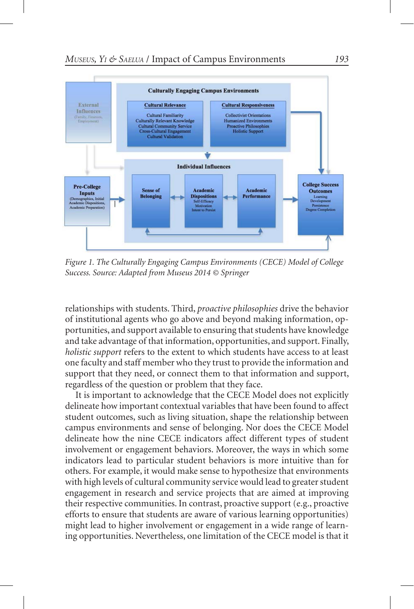

*Figure 1. The Culturally Engaging Campus Environments (CECE) Model of College Success. Source: Adapted from Museus 2014 © Springer*

relationships with students. Third, *proactive philosophies* drive the behavior of institutional agents who go above and beyond making information, opportunities, and support available to ensuring that students have knowledge and take advantage of that information, opportunities, and support. Finally, *holistic support* refers to the extent to which students have access to at least one faculty and staff member who they trust to provide the information and support that they need, or connect them to that information and support, regardless of the question or problem that they face.

It is important to acknowledge that the CECE Model does not explicitly delineate how important contextual variables that have been found to affect student outcomes, such as living situation, shape the relationship between campus environments and sense of belonging. Nor does the CECE Model delineate how the nine CECE indicators affect different types of student involvement or engagement behaviors. Moreover, the ways in which some indicators lead to particular student behaviors is more intuitive than for others. For example, it would make sense to hypothesize that environments with high levels of cultural community service would lead to greater student engagement in research and service projects that are aimed at improving their respective communities. In contrast, proactive support (e.g., proactive efforts to ensure that students are aware of various learning opportunities) might lead to higher involvement or engagement in a wide range of learning opportunities. Nevertheless, one limitation of the CECE model is that it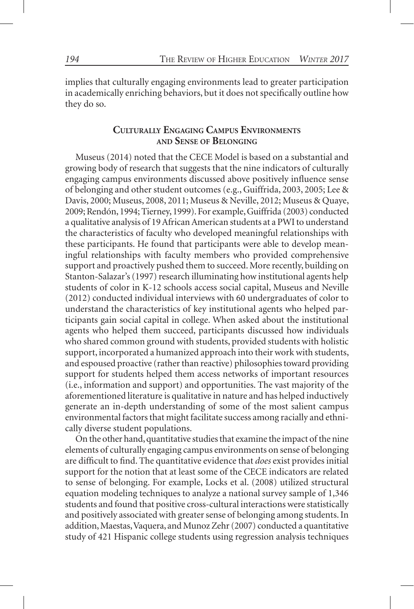implies that culturally engaging environments lead to greater participation in academically enriching behaviors, but it does not specifically outline how they do so.

# **Culturally Engaging Campus Environments and Sense of Belonging**

Museus (2014) noted that the CECE Model is based on a substantial and growing body of research that suggests that the nine indicators of culturally engaging campus environments discussed above positively influence sense of belonging and other student outcomes (e.g., Guiffrida, 2003, 2005; Lee & Davis, 2000; Museus, 2008, 2011; Museus & Neville, 2012; Museus & Quaye, 2009; Rendón, 1994; Tierney, 1999). For example, Guiffrida (2003) conducted a qualitative analysis of 19 African American students at a PWI to understand the characteristics of faculty who developed meaningful relationships with these participants. He found that participants were able to develop meaningful relationships with faculty members who provided comprehensive support and proactively pushed them to succeed. More recently, building on Stanton-Salazar's (1997) research illuminating how institutional agents help students of color in K-12 schools access social capital, Museus and Neville (2012) conducted individual interviews with 60 undergraduates of color to understand the characteristics of key institutional agents who helped participants gain social capital in college. When asked about the institutional agents who helped them succeed, participants discussed how individuals who shared common ground with students, provided students with holistic support, incorporated a humanized approach into their work with students, and espoused proactive (rather than reactive) philosophies toward providing support for students helped them access networks of important resources (i.e., information and support) and opportunities. The vast majority of the aforementioned literature is qualitative in nature and has helped inductively generate an in-depth understanding of some of the most salient campus environmental factors that might facilitate success among racially and ethnically diverse student populations.

On the other hand, quantitative studies that examine the impact of the nine elements of culturally engaging campus environments on sense of belonging are difficult to find. The quantitative evidence that *does* exist provides initial support for the notion that at least some of the CECE indicators are related to sense of belonging. For example, Locks et al. (2008) utilized structural equation modeling techniques to analyze a national survey sample of 1,346 students and found that positive cross-cultural interactions were statistically and positively associated with greater sense of belonging among students. In addition, Maestas, Vaquera, and Munoz Zehr (2007) conducted a quantitative study of 421 Hispanic college students using regression analysis techniques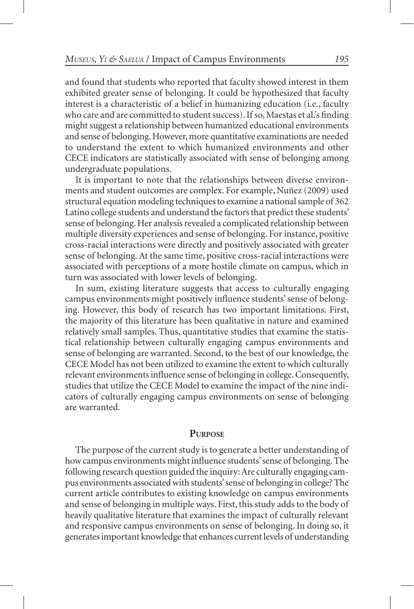and found that students who reported that faculty showed interest in them exhibited greater sense of belonging. It could be hypothesized that faculty interest is a characteristic of a belief in humanizing education (i.e., faculty who care and are committed to student success). If so, Maestas et al.'s finding might suggest a relationship between humanized educational environments and sense of belonging. However, more quantitative examinations are needed to understand the extent to which humanized environments and other CECE indicators are statistically associated with sense of belonging among undergraduate populations.

It is important to note that the relationships between diverse environments and student outcomes are complex. For example, Nuñez (2009) used structural equation modeling techniques to examine a national sample of 362 Latino college students and understand the factors that predict these students' sense of belonging. Her analysis revealed a complicated relationship between multiple diversity experiences and sense of belonging. For instance, positive cross-racial interactions were directly and positively associated with greater sense of belonging. At the same time, positive cross-racial interactions were associated with perceptions of a more hostile climate on campus, which in turn was associated with lower levels of belonging.

In sum, existing literature suggests that access to culturally engaging campus environments might positively influence students' sense of belonging. However, this body of research has two important limitations. First, the majority of this literature has been qualitative in nature and examined relatively small samples. Thus, quantitative studies that examine the statistical relationship between culturally engaging campus environments and sense of belonging are warranted. Second, to the best of our knowledge, the CECE Model has not been utilized to examine the extent to which culturally relevant environments influence sense of belonging in college. Consequently, studies that utilize the CECE Model to examine the impact of the nine indicators of culturally engaging campus environments on sense of belonging are warranted.

### **Purpose**

The purpose of the current study is to generate a better understanding of how campus environments might influence students' sense of belonging. The following research question guided the inquiry: Are culturally engaging campus environments associated with students' sense of belonging in college? The current article contributes to existing knowledge on campus environments and sense of belonging in multiple ways. First, this study adds to the body of heavily qualitative literature that examines the impact of culturally relevant and responsive campus environments on sense of belonging. In doing so, it generates important knowledge that enhances current levels of understanding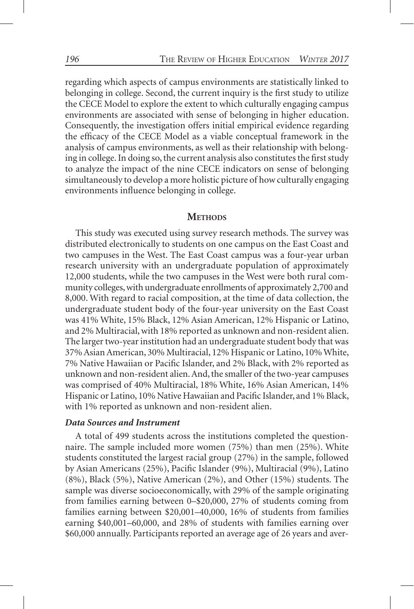regarding which aspects of campus environments are statistically linked to belonging in college. Second, the current inquiry is the first study to utilize the CECE Model to explore the extent to which culturally engaging campus environments are associated with sense of belonging in higher education. Consequently, the investigation offers initial empirical evidence regarding the efficacy of the CECE Model as a viable conceptual framework in the analysis of campus environments, as well as their relationship with belonging in college. In doing so, the current analysis also constitutes the first study to analyze the impact of the nine CECE indicators on sense of belonging simultaneously to develop a more holistic picture of how culturally engaging environments influence belonging in college.

# **METHODS**

This study was executed using survey research methods. The survey was distributed electronically to students on one campus on the East Coast and two campuses in the West. The East Coast campus was a four-year urban research university with an undergraduate population of approximately 12,000 students, while the two campuses in the West were both rural community colleges, with undergraduate enrollments of approximately 2,700 and 8,000. With regard to racial composition, at the time of data collection, the undergraduate student body of the four-year university on the East Coast was 41% White, 15% Black, 12% Asian American, 12% Hispanic or Latino, and 2% Multiracial, with 18% reported as unknown and non-resident alien. The larger two-year institution had an undergraduate student body that was 37% Asian American, 30% Multiracial, 12% Hispanic or Latino, 10% White, 7% Native Hawaiian or Pacific Islander, and 2% Black, with 2% reported as unknown and non-resident alien. And, the smaller of the two-year campuses was comprised of 40% Multiracial, 18% White, 16% Asian American, 14% Hispanic or Latino, 10% Native Hawaiian and Pacific Islander, and 1% Black, with 1% reported as unknown and non-resident alien.

# *Data Sources and Instrument*

A total of 499 students across the institutions completed the questionnaire. The sample included more women (75%) than men (25%). White students constituted the largest racial group (27%) in the sample, followed by Asian Americans (25%), Pacific Islander (9%), Multiracial (9%), Latino (8%), Black (5%), Native American (2%), and Other (15%) students. The sample was diverse socioeconomically, with 29% of the sample originating from families earning between 0–\$20,000, 27% of students coming from families earning between \$20,001–40,000, 16% of students from families earning \$40,001–60,000, and 28% of students with families earning over \$60,000 annually. Participants reported an average age of 26 years and aver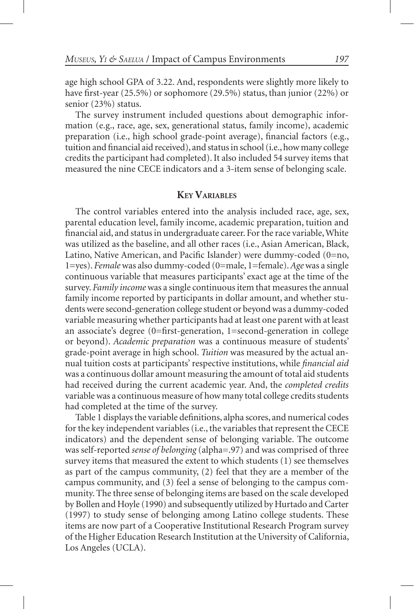age high school GPA of 3.22. And, respondents were slightly more likely to have first-year (25.5%) or sophomore (29.5%) status, than junior (22%) or senior (23%) status.

The survey instrument included questions about demographic information (e.g., race, age, sex, generational status, family income), academic preparation (i.e., high school grade-point average), financial factors (e.g., tuition and financial aid received), and status in school (i.e., how many college credits the participant had completed). It also included 54 survey items that measured the nine CECE indicators and a 3-item sense of belonging scale.

## **KeyVariables**

The control variables entered into the analysis included race, age, sex, parental education level, family income, academic preparation, tuition and financial aid, and status in undergraduate career. For the race variable, White was utilized as the baseline, and all other races (i.e., Asian American, Black, Latino, Native American, and Pacific Islander) were dummy-coded (0=no, 1=yes). *Female* was also dummy-coded (0=male, 1=female). *Age* was a single continuous variable that measures participants' exact age at the time of the survey. *Family income* was a single continuous item that measures the annual family income reported by participants in dollar amount, and whether students were second-generation college student or beyond was a dummy-coded variable measuring whether participants had at least one parent with at least an associate's degree (0=first-generation, 1=second-generation in college or beyond). *Academic preparation* was a continuous measure of students' grade-point average in high school. *Tuition* was measured by the actual annual tuition costs at participants' respective institutions, while *financial aid* was a continuous dollar amount measuring the amount of total aid students had received during the current academic year. And, the *completed credits* variable was a continuous measure of how many total college credits students had completed at the time of the survey.

Table 1 displays the variable definitions, alpha scores, and numerical codes for the key independent variables (i.e., the variables that represent the CECE indicators) and the dependent sense of belonging variable. The outcome was self-reported *sense of belonging* (alpha=.97) and was comprised of three survey items that measured the extent to which students (1) see themselves as part of the campus community, (2) feel that they are a member of the campus community, and (3) feel a sense of belonging to the campus community. The three sense of belonging items are based on the scale developed by Bollen and Hoyle (1990) and subsequently utilized by Hurtado and Carter (1997) to study sense of belonging among Latino college students. These items are now part of a Cooperative Institutional Research Program survey of the Higher Education Research Institution at the University of California, Los Angeles (UCLA).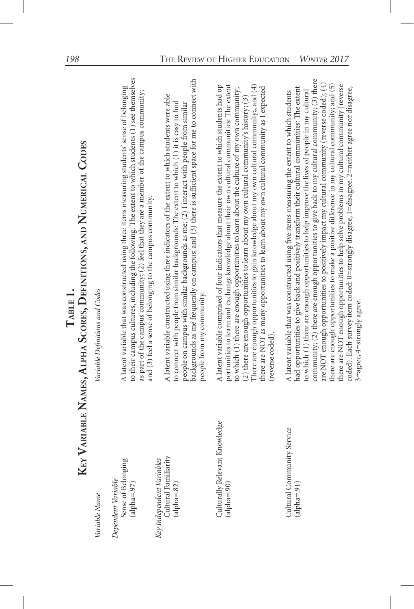|     | -<br>-<br>-<br>-<br>(       |
|-----|-----------------------------|
|     | )<br>!<br>・・・・ ・・・・・・・・・・・・ |
|     |                             |
| ۱   | A THEORY AND<br>ļ           |
| トート | ים ביו ביותר ה              |
|     |                             |
|     | ا<br>ا                      |
|     |                             |
|     | $\overline{\phantom{a}}$    |

| ☑                                                                 | EY VARIABLE NAMES, ALPHA SCORES, DEFINITIONS, AND NUMERICAL CODES                                                                                                                                                                                                                                                                                                                                                                                                                                                                                                                                                                                                                                                                                                                                                                         |
|-------------------------------------------------------------------|-------------------------------------------------------------------------------------------------------------------------------------------------------------------------------------------------------------------------------------------------------------------------------------------------------------------------------------------------------------------------------------------------------------------------------------------------------------------------------------------------------------------------------------------------------------------------------------------------------------------------------------------------------------------------------------------------------------------------------------------------------------------------------------------------------------------------------------------|
| Variable Name                                                     | Variable Definitions and Codes                                                                                                                                                                                                                                                                                                                                                                                                                                                                                                                                                                                                                                                                                                                                                                                                            |
| Sense of Belonging<br>(alpha=.97)<br>Dependent Variable           | to their campus cultures, including the following: The extent to which students (1) see themselves<br>A latent variable that was constructed using three items measuring students' sense of belonging<br>as part of the campus community; (2) feel that they are a member of the campus community;<br>and (3) feel a sense of belonging to the campus community.                                                                                                                                                                                                                                                                                                                                                                                                                                                                          |
| Cultural Familiarity<br>Key Independent Variables<br>$(alpha=82)$ | backgrounds as me frequently on campus; and (3) there is sufficient space for me to connect with<br>A latent variable constructed using three indicators of the extent to which students were able<br>to connect with people from similar backgrounds: The extent to which (1) it is easy to find<br>people on campus with similar backgrounds as me; $(2)$ I interact with people from similar<br>people from my community.                                                                                                                                                                                                                                                                                                                                                                                                              |
| Culturally Relevant Knowledge<br>$(alpha=90)$                     | There are enough opportunities to gain knowledge about my own cultural community;, and $(4)$<br>A latent variable comprised of four indicators that measure the extent to which students had op<br>portunities to learn and exchange knowledge about their own cultural communities: The extent<br>there are NOT as many opportunities to learn about my own cultural community as I expected<br>to which (1) there are enough opportunities to learn about the culture of my own community;<br>(2) there are enough opportunities to learn about my own cultural community's history; (3)<br>(reverse coded).                                                                                                                                                                                                                            |
| Cultural Community Service<br>$(a1pha=.91)$                       | community; $(2)$ there are enough opportunities to give back to my cultural community; $(3)$ there<br>are NOT enough opportunities to positively impact my cultural community (reverse coded); (4)<br>there are NOT enough opportunities to help solve problems in my cultural community (reverse<br>there are enough opportunities to make a positive difference in my cultural community; and (5)<br>had opportunities to give back and positively transform their cultural communities: The extent<br>coded). Each survey item coded: 0=strongly disagree, 1=disagree, 2=neither agree nor disagree,<br>to which (1) there are enough opportunities to help improve the lives of people in my cultural<br>A latent variable that was constructed using five items measuring the extent to which students<br>3=agree, 4=strongly agree. |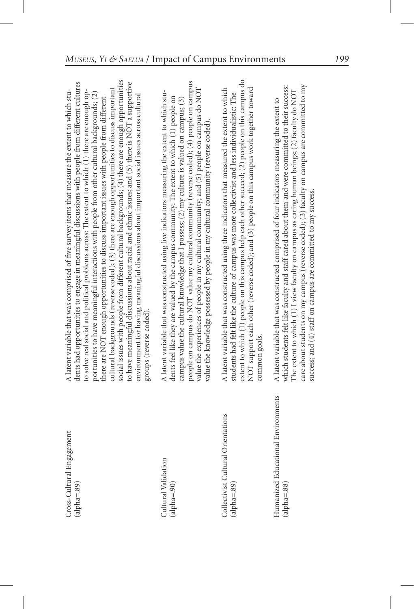| Cross-Cultural Engagement<br>$(alpha=89)$ | social issues with people from different cultural backgrounds; (4) there are enough opportunities<br>to have meaningful discussions about racial and ethnic issues; and (5) there is NOT a supportive<br>dents had opportunities to engage in meaningful discussions with people from different cultures<br>cultural backgrounds (reverse coded); $(3)$ there are enough opportunities to discuss important<br>A latent variable that was comprised of five survey items that measure the extent to which stu-<br>to solve real social and political problems across: The extent to which (1) there are enough op-<br>portunities to have meaningful interactions with people from other cultural backgrounds; $(2)$<br>environment for having meaningful discussions about important social issues across cultural<br>there are NOT enough opportunities to discuss important issues with people from different<br>groups (reverse coded). |
|-------------------------------------------|---------------------------------------------------------------------------------------------------------------------------------------------------------------------------------------------------------------------------------------------------------------------------------------------------------------------------------------------------------------------------------------------------------------------------------------------------------------------------------------------------------------------------------------------------------------------------------------------------------------------------------------------------------------------------------------------------------------------------------------------------------------------------------------------------------------------------------------------------------------------------------------------------------------------------------------------|
| Cultural Validation<br>$(alpha=-.90)$     | people on campus do NOT value my cultural community (reverse coded); (4) people on campus<br>value the experiences of people in my cultural community; and (5) people on campus do NOT<br>A latent variable that was constructed using five indicators measuring the extent to which stu-<br>dents feel like they are valued by the campus community: The extent to which $(1)$ people on<br>campus value the cultural knowledge that I possess; $(2)$ my culture is valued on campus; $(3)$                                                                                                                                                                                                                                                                                                                                                                                                                                                |

Collectivist Cultural Orientations  $(alpha=89)$  Humanized Educational Environments  $(alpha=88)$ 

extent to which (1) people on this campus help each other succeed; (2) people on this campus do extent to which  $(1)$  people on this campus help each other succeed;  $(2)$  people on this campus do Collectivist Cultural Orientations A latent variable that was constructed using three indicators that measured the extent to which NOT support each other (reverse coded); and (3) people on this campus work together toward NOT support each other (reverse coded); and (3) people on this campus work together toward A latent variable that was constructed using three indicators that measured the extent to which students had felt like the culture of campus was more collectivist and less individualistic: The (alpha=.89) students had felt like the culture of campus was more collectivist and less individualistic: The common goals. common goals.

value the knowledge possessed by people in my cultural community (reverse coded).

value the knowledge possessed by people in my cultural community (reverse coded).

(alpha=.88) which students felt like faculty and staff cared about them and were committed to their success: care about students on my campus (reverse coded); (3) faculty on campus are committed to my which students felt like faculty and staff cared about them and were committed to their success: care about students on my campus (reverse coded); (3) faculty on campus are committed to my The extent to which (1) I view faculty on campus as caring human beings; (2) faculty do NOT The extent to which  $(1)$  I view faculty on campus as caring human beings;  $(2)$  faculty do NOT A latent variable that was constructed comprised of four indicators measuring the extent to Humanized Educational Environments A latent variable that was constructed comprised of four indicators measuring the extent to success; and (4) staff on campus are committed to my success. success; and (4) staff on campus are committed to my success.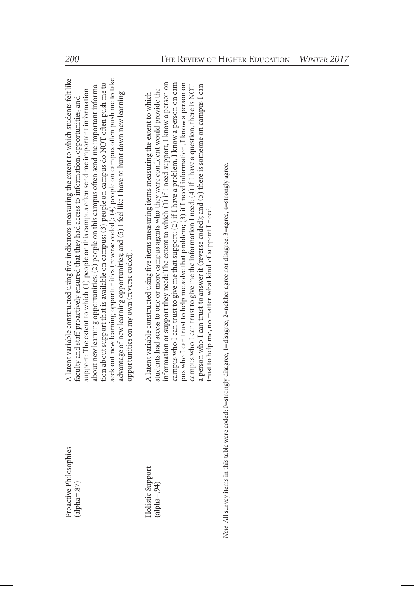| A latent variable constructed using five indicators measuring the extent to which students felt like<br>seek out new learning opportunities (reverse coded); (4) people on campus often push me to take<br>tion about support that is available on campus; (3) people on campus do NOT often push me to<br>about new learning opportunities; (2) people on this campus often send me important informa-<br>support: The extent to which (1) people on this campus often send me important information<br>advantage of new learning opportunities; and (5) I feel like I have to hunt down new learning<br>faculty and staff proactively ensured that they had access to information, opportunities, and<br>opportunities on my own (reverse coded). | campus who I can trust to give me that support; (2) if I have a problem, I know a person on cam-<br>information or support they need: The extent to which (1) if I need support, I know a person on<br>pus who I can trust to help me solve that problem; (3) if I need information, I know a person on<br>campus who I can trust to give me the information I need; $(4)$ if I have a question, there is NOT<br>a person who I can trust to answer it (reverse coded); and (5) there is someone on campus I can<br>students had access to one or more campus agents who they were confident would provide the<br>A latent variable constructed using five items measuring items measuring the extent to which<br>trust to help me, no matter what kind of support I need. |  |
|-----------------------------------------------------------------------------------------------------------------------------------------------------------------------------------------------------------------------------------------------------------------------------------------------------------------------------------------------------------------------------------------------------------------------------------------------------------------------------------------------------------------------------------------------------------------------------------------------------------------------------------------------------------------------------------------------------------------------------------------------------|----------------------------------------------------------------------------------------------------------------------------------------------------------------------------------------------------------------------------------------------------------------------------------------------------------------------------------------------------------------------------------------------------------------------------------------------------------------------------------------------------------------------------------------------------------------------------------------------------------------------------------------------------------------------------------------------------------------------------------------------------------------------------|--|
| Proactive Philosophies<br>$alpha = .87$                                                                                                                                                                                                                                                                                                                                                                                                                                                                                                                                                                                                                                                                                                             | Holistic Support<br>(alpha= $.94$ )                                                                                                                                                                                                                                                                                                                                                                                                                                                                                                                                                                                                                                                                                                                                        |  |

Note: All survey items in this table were coded: 0=strongly disagree, 1=disagree, 2=neither agree nor disagree, 3=agree, 4=strongly agree. *Note*: All survey items in this table were coded: 0=strongly disagree, 1=disagree, 2=neither agree nor disagree, 3=agree, 4=strongly agree.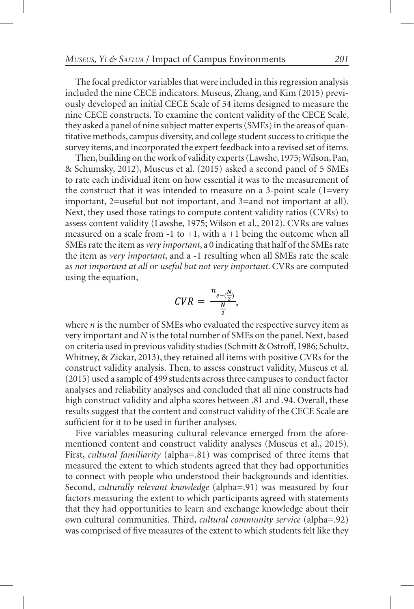The focal predictor variables that were included in this regression analysis included the nine CECE indicators. Museus, Zhang, and Kim (2015) previously developed an initial CECE Scale of 54 items designed to measure the nine CECE constructs. To examine the content validity of the CECE Scale, they asked a panel of nine subject matter experts (SMEs) in the areas of quantitative methods, campus diversity, and college student success to critique the survey items, and incorporated the expert feedback into a revised set of items.

Then, building on the work of validity experts (Lawshe, 1975; Wilson, Pan, & Schumsky, 2012), Museus et al. (2015) asked a second panel of 5 SMEs to rate each individual item on how essential it was to the measurement of the construct that it was intended to measure on a 3-point scale (1=very important, 2=useful but not important, and 3=and not important at all). Next, they used those ratings to compute content validity ratios (CVRs) to assess content validity (Lawshe, 1975; Wilson et al., 2012). CVRs are values measured on a scale from  $-1$  to  $+1$ , with a  $+1$  being the outcome when all SMEs rate the item as *very important*, a 0 indicating that half of the SMEs rate the item as *very important*, and a -1 resulting when all SMEs rate the scale as *not important at all* or *useful but not very important*. CVRs are computed using the equation,

$$
CVR = \frac{n_{e - (\frac{N}{2})}}{\frac{N}{2}},
$$

where *n* is the number of SMEs who evaluated the respective survey item as very important and *N* is the total number of SMEs on the panel. Next, based on criteria used in previous validity studies (Schmitt & Ostroff, 1986; Schultz, Whitney, & Zickar, 2013), they retained all items with positive CVRs for the construct validity analysis. Then, to assess construct validity, Museus et al. (2015) used a sample of 499 students across three campuses to conduct factor analyses and reliability analyses and concluded that all nine constructs had high construct validity and alpha scores between .81 and .94. Overall, these results suggest that the content and construct validity of the CECE Scale are sufficient for it to be used in further analyses.

Five variables measuring cultural relevance emerged from the aforementioned content and construct validity analyses (Museus et al., 2015). First, *cultural familiarity* (alpha=.81) was comprised of three items that measured the extent to which students agreed that they had opportunities to connect with people who understood their backgrounds and identities. Second, *culturally relevant knowledge* (alpha=.91) was measured by four factors measuring the extent to which participants agreed with statements that they had opportunities to learn and exchange knowledge about their own cultural communities. Third, *cultural community service* (alpha=.92) was comprised of five measures of the extent to which students felt like they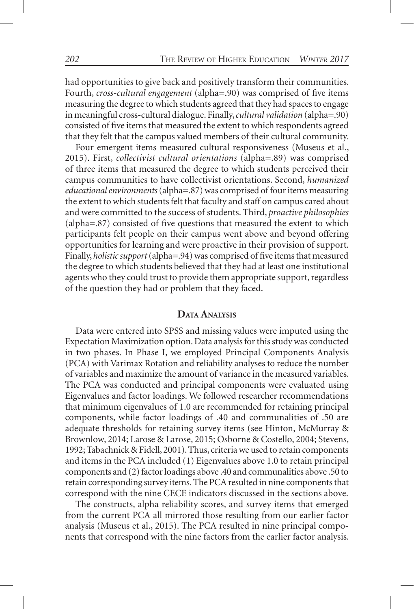had opportunities to give back and positively transform their communities. Fourth, *cross-cultural engagement* (alpha=.90) was comprised of five items measuring the degree to which students agreed that they had spaces to engage in meaningful cross-cultural dialogue. Finally, *cultural validation* (alpha=.90) consisted of five items that measured the extent to which respondents agreed that they felt that the campus valued members of their cultural community.

Four emergent items measured cultural responsiveness (Museus et al., 2015). First, *collectivist cultural orientations* (alpha=.89) was comprised of three items that measured the degree to which students perceived their campus communities to have collectivist orientations. Second, *humanized educational environments* (alpha=.87) was comprised of four items measuring the extent to which students felt that faculty and staff on campus cared about and were committed to the success of students. Third, *proactive philosophies*  (alpha=.87) consisted of five questions that measured the extent to which participants felt people on their campus went above and beyond offering opportunities for learning and were proactive in their provision of support. Finally, *holistic support* (alpha=.94) was comprised of five items that measured the degree to which students believed that they had at least one institutional agents who they could trust to provide them appropriate support, regardless of the question they had or problem that they faced.

#### **Data Analysis**

Data were entered into SPSS and missing values were imputed using the Expectation Maximization option. Data analysis for this study was conducted in two phases. In Phase I, we employed Principal Components Analysis (PCA) with Varimax Rotation and reliability analyses to reduce the number of variables and maximize the amount of variance in the measured variables. The PCA was conducted and principal components were evaluated using Eigenvalues and factor loadings. We followed researcher recommendations that minimum eigenvalues of 1.0 are recommended for retaining principal components, while factor loadings of .40 and communalities of .50 are adequate thresholds for retaining survey items (see Hinton, McMurray & Brownlow, 2014; Larose & Larose, 2015; Osborne & Costello, 2004; Stevens, 1992; Tabachnick & Fidell, 2001). Thus, criteria we used to retain components and items in the PCA included (1) Eigenvalues above 1.0 to retain principal components and (2) factor loadings above .40 and communalities above .50 to retain corresponding survey items. The PCA resulted in nine components that correspond with the nine CECE indicators discussed in the sections above.

The constructs, alpha reliability scores, and survey items that emerged from the current PCA all mirrored those resulting from our earlier factor analysis (Museus et al., 2015). The PCA resulted in nine principal components that correspond with the nine factors from the earlier factor analysis.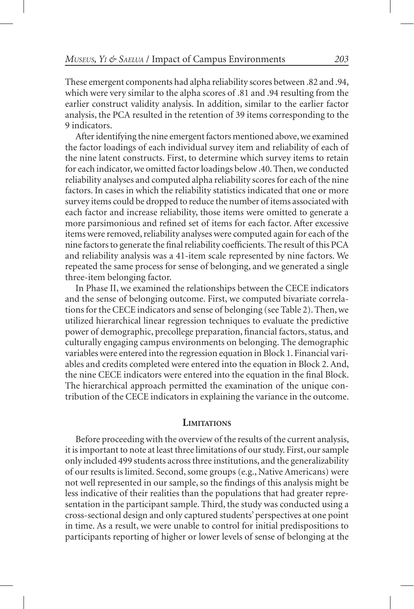These emergent components had alpha reliability scores between .82 and .94, which were very similar to the alpha scores of .81 and .94 resulting from the earlier construct validity analysis. In addition, similar to the earlier factor analysis, the PCA resulted in the retention of 39 items corresponding to the 9 indicators.

After identifying the nine emergent factors mentioned above, we examined the factor loadings of each individual survey item and reliability of each of the nine latent constructs. First, to determine which survey items to retain for each indicator, we omitted factor loadings below .40. Then, we conducted reliability analyses and computed alpha reliability scores for each of the nine factors. In cases in which the reliability statistics indicated that one or more survey items could be dropped to reduce the number of items associated with each factor and increase reliability, those items were omitted to generate a more parsimonious and refined set of items for each factor. After excessive items were removed, reliability analyses were computed again for each of the nine factors to generate the final reliability coefficients. The result of this PCA and reliability analysis was a 41-item scale represented by nine factors. We repeated the same process for sense of belonging, and we generated a single three-item belonging factor.

In Phase II, we examined the relationships between the CECE indicators and the sense of belonging outcome. First, we computed bivariate correlations for the CECE indicators and sense of belonging (see Table 2). Then, we utilized hierarchical linear regression techniques to evaluate the predictive power of demographic, precollege preparation, financial factors, status, and culturally engaging campus environments on belonging. The demographic variables were entered into the regression equation in Block 1. Financial variables and credits completed were entered into the equation in Block 2. And, the nine CECE indicators were entered into the equation in the final Block. The hierarchical approach permitted the examination of the unique contribution of the CECE indicators in explaining the variance in the outcome.

#### **Limitations**

Before proceeding with the overview of the results of the current analysis, it is important to note at least three limitations of our study. First, our sample only included 499 students across three institutions, and the generalizability of our results is limited. Second, some groups (e.g., Native Americans) were not well represented in our sample, so the findings of this analysis might be less indicative of their realities than the populations that had greater representation in the participant sample. Third, the study was conducted using a cross-sectional design and only captured students' perspectives at one point in time. As a result, we were unable to control for initial predispositions to participants reporting of higher or lower levels of sense of belonging at the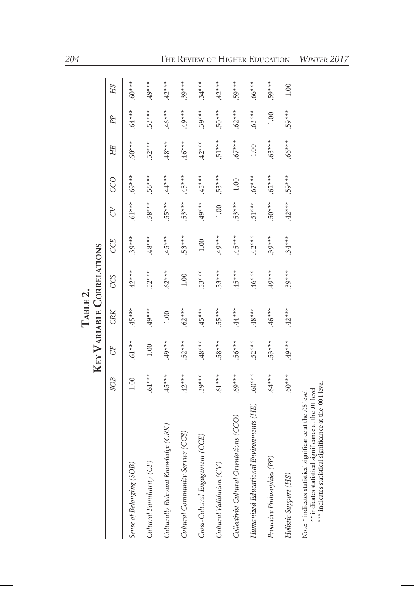|                                                                                                                                                                                   |           |          | KEY VARIABLE CORRELATIONS<br>$T$ ABLE 2. |          |          |           |          |          |          |          |
|-----------------------------------------------------------------------------------------------------------------------------------------------------------------------------------|-----------|----------|------------------------------------------|----------|----------|-----------|----------|----------|----------|----------|
|                                                                                                                                                                                   | SOB       | GF       | CRK                                      | CCS      | CCE      | <b>P</b>  | CCO      | HE       | PP       | НS       |
| Sense of Belonging (SOB,                                                                                                                                                          | 1.00      | $.61***$ | $.45***$                                 | $.42***$ | $.39***$ | $***$ [9. | $.69***$ | $.60**$  | $.64***$ | $.60***$ |
| Cultural Familiarity (CF)                                                                                                                                                         | $.61***$  | $1.00$   | $49***$                                  | $.52***$ | $.48***$ | $.58***$  | $.56***$ | $.52***$ | $.53***$ | $49***$  |
| Culturally Relevant Knowledge (CRK)                                                                                                                                               | $.45***$  | $.49***$ | 1.00                                     | $.62***$ | $.45***$ | $.55***$  | $.44***$ | $.48***$ | $.46***$ | $.42***$ |
| Cultural Community Service (CCS)                                                                                                                                                  | $.42***$  | $.52***$ | $.62***$                                 | 1.00     | $.53***$ | $.53***$  | $.45***$ | $.46***$ | $.49***$ | $.39***$ |
| Cross-Cultural Engagement (CCE)                                                                                                                                                   | $.39***$  | $.48***$ | $.45***$                                 | $.53***$ | 1.00     | $***6$ .  | $.45***$ | $.42***$ | $.39***$ | $.34***$ |
| Cultural Validation (CV)                                                                                                                                                          | $.61***$  | $.58***$ | $.55***$                                 | $.53***$ | $.49***$ | 1.00      | $.53***$ | $.51***$ | $.50***$ | $.42***$ |
| Collectivist Cultural Orientations (CCO)                                                                                                                                          | $.69***$  | $.56***$ | $\star\star\star\star$                   | $.45***$ | $.45***$ | $.53***$  | 1.00     | $.67***$ | $.62***$ | $.59***$ |
| Environments (HE)<br>Humanized Educational                                                                                                                                        | $.60$ *** | $.52***$ | $.48***$                                 | $.46***$ | $.42***$ | $.51***$  | $.67***$ | $1.00\,$ | $.63***$ | $.66***$ |
| Proactive Philosophies (PP)                                                                                                                                                       | $***$ 9.  | $.53***$ | $.46***$                                 | $.49***$ | $.39***$ | $***050$  | $.62***$ | $.63***$ | 1.00     | $.59***$ |
| Holistic Support (HS)                                                                                                                                                             | $*^{***}$ | $49***$  | $.42***$                                 | $.39***$ | $.34***$ | $.42***$  | $.59***$ | $.66***$ | $.59***$ | 1.00     |
| *** indicates statistical significance at the .001 level<br>** indicates statistical significance at the .01 level<br>Note: * indicates statistical significance at the .05 level |           |          |                                          |          |          |           |          |          |          |          |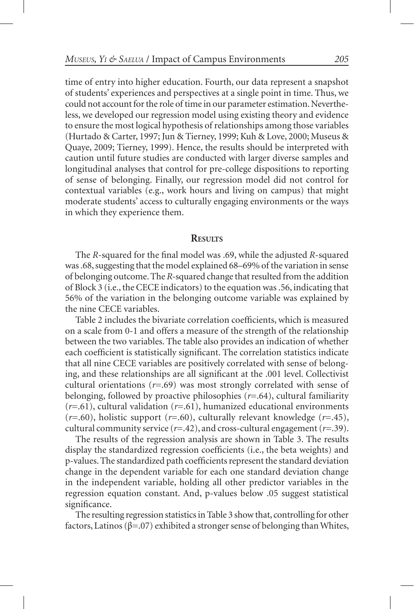time of entry into higher education. Fourth, our data represent a snapshot of students' experiences and perspectives at a single point in time. Thus, we could not account for the role of time in our parameter estimation. Nevertheless, we developed our regression model using existing theory and evidence to ensure the most logical hypothesis of relationships among those variables (Hurtado & Carter, 1997; Jun & Tierney, 1999; Kuh & Love, 2000; Museus & Quaye, 2009; Tierney, 1999). Hence, the results should be interpreted with caution until future studies are conducted with larger diverse samples and longitudinal analyses that control for pre-college dispositions to reporting of sense of belonging. Finally, our regression model did not control for contextual variables (e.g., work hours and living on campus) that might moderate students' access to culturally engaging environments or the ways in which they experience them.

#### **Results**

The *R*-squared for the final model was .69, while the adjusted *R*-squared was .68, suggesting that the model explained 68–69% of the variation in sense of belonging outcome. The *R-*squared change that resulted from the addition of Block 3 (i.e., the CECE indicators) to the equation was .56, indicating that 56% of the variation in the belonging outcome variable was explained by the nine CECE variables.

Table 2 includes the bivariate correlation coefficients, which is measured on a scale from 0-1 and offers a measure of the strength of the relationship between the two variables. The table also provides an indication of whether each coefficient is statistically significant. The correlation statistics indicate that all nine CECE variables are positively correlated with sense of belonging, and these relationships are all significant at the .001 level. Collectivist cultural orientations  $(r=.69)$  was most strongly correlated with sense of belonging, followed by proactive philosophies (*r*=.64), cultural familiarity (*r*=.61), cultural validation (*r*=.61), humanized educational environments (*r*=.60), holistic support (*r*=.60), culturally relevant knowledge (*r*=.45), cultural community service (*r*=.42), and cross-cultural engagement (*r*=.39).

The results of the regression analysis are shown in Table 3. The results display the standardized regression coefficients (i.e., the beta weights) and p-values. The standardized path coefficients represent the standard deviation change in the dependent variable for each one standard deviation change in the independent variable, holding all other predictor variables in the regression equation constant. And, p-values below .05 suggest statistical significance.

The resulting regression statistics in Table 3 show that, controlling for other factors, Latinos (β=.07) exhibited a stronger sense of belonging than Whites,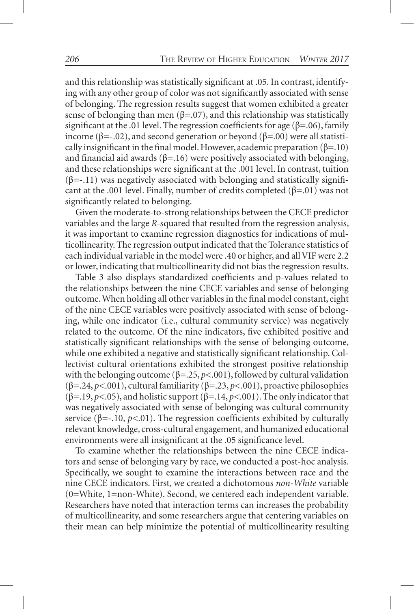and this relationship was statistically significant at .05. In contrast, identifying with any other group of color was not significantly associated with sense of belonging. The regression results suggest that women exhibited a greater sense of belonging than men ( $\beta$ =.07), and this relationship was statistically significant at the .01 level. The regression coefficients for age ( $\beta$ =.06), family income (β=-.02), and second generation or beyond (β=.00) were all statistically insignificant in the final model. However, academic preparation  $(\beta = .10)$ and financial aid awards ( $\beta$ =.16) were positively associated with belonging, and these relationships were significant at the .001 level. In contrast, tuition  $(\beta=-.11)$  was negatively associated with belonging and statistically significant at the .001 level. Finally, number of credits completed ( $\beta$ =.01) was not significantly related to belonging.

Given the moderate-to-strong relationships between the CECE predictor variables and the large *R-*squared that resulted from the regression analysis, it was important to examine regression diagnostics for indications of multicollinearity. The regression output indicated that the Tolerance statistics of each individual variable in the model were .40 or higher, and all VIF were 2.2 or lower, indicating that multicollinearity did not bias the regression results.

Table 3 also displays standardized coefficients and p-values related to the relationships between the nine CECE variables and sense of belonging outcome. When holding all other variables in the final model constant, eight of the nine CECE variables were positively associated with sense of belonging, while one indicator (i.e., cultural community service) was negatively related to the outcome. Of the nine indicators, five exhibited positive and statistically significant relationships with the sense of belonging outcome, while one exhibited a negative and statistically significant relationship. Collectivist cultural orientations exhibited the strongest positive relationship with the belonging outcome ( $\beta = 0.25$ ,  $p < 0.01$ ), followed by cultural validation (β=.24, *p<*.001), cultural familiarity (β=.23, *p<*.001), proactive philosophies (β=.19, *p<*.05), and holistic support (β=.14, *p<*.001). The only indicator that was negatively associated with sense of belonging was cultural community service ( $\beta$ =-.10,  $p$ <.01). The regression coefficients exhibited by culturally relevant knowledge, cross-cultural engagement, and humanized educational environments were all insignificant at the .05 significance level.

To examine whether the relationships between the nine CECE indicators and sense of belonging vary by race, we conducted a post-hoc analysis. Specifically, we sought to examine the interactions between race and the nine CECE indicators. First, we created a dichotomous *non-White* variable (0=White, 1=non-White). Second, we centered each independent variable. Researchers have noted that interaction terms can increases the probability of multicollinearity, and some researchers argue that centering variables on their mean can help minimize the potential of multicollinearity resulting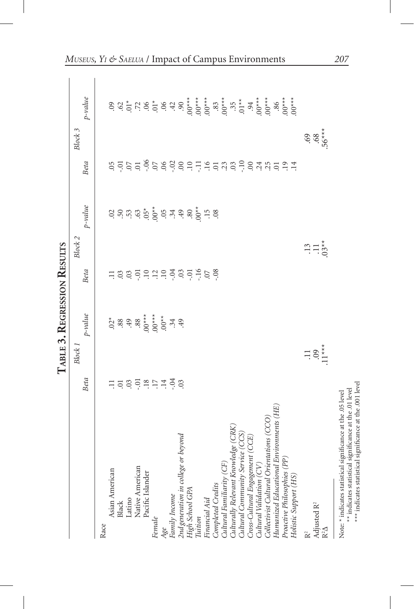|                                                                                                                       |                    | TABLE 3. REGRESSION RESULTS                                                                                                                                                                                                                                                                                                                          |                                                   |                                                                                                                                                       |                                             |            |
|-----------------------------------------------------------------------------------------------------------------------|--------------------|------------------------------------------------------------------------------------------------------------------------------------------------------------------------------------------------------------------------------------------------------------------------------------------------------------------------------------------------------|---------------------------------------------------|-------------------------------------------------------------------------------------------------------------------------------------------------------|---------------------------------------------|------------|
|                                                                                                                       | Block <sub>1</sub> |                                                                                                                                                                                                                                                                                                                                                      |                                                   | Block 2                                                                                                                                               |                                             | Block 3    |
|                                                                                                                       | Beta               | $p$ -value                                                                                                                                                                                                                                                                                                                                           | Beta                                              | $p$ -value                                                                                                                                            | Beta                                        | $p$ -value |
| Race                                                                                                                  |                    |                                                                                                                                                                                                                                                                                                                                                      |                                                   |                                                                                                                                                       |                                             |            |
| Asian American                                                                                                        |                    |                                                                                                                                                                                                                                                                                                                                                      |                                                   |                                                                                                                                                       |                                             |            |
| Black                                                                                                                 |                    |                                                                                                                                                                                                                                                                                                                                                      |                                                   |                                                                                                                                                       |                                             |            |
| Latino                                                                                                                |                    |                                                                                                                                                                                                                                                                                                                                                      |                                                   |                                                                                                                                                       |                                             |            |
| Native American                                                                                                       |                    |                                                                                                                                                                                                                                                                                                                                                      |                                                   |                                                                                                                                                       |                                             |            |
| Pacific Islander                                                                                                      |                    |                                                                                                                                                                                                                                                                                                                                                      |                                                   |                                                                                                                                                       |                                             |            |
| Female                                                                                                                | 그 그 의 그 그 그 그 그 의  | $\frac{2}{3}$<br>$\frac{2}{3}$<br>$\frac{2}{3}$<br>$\frac{2}{3}$<br>$\frac{2}{3}$<br>$\frac{2}{3}$<br>$\frac{2}{3}$<br>$\frac{2}{3}$<br>$\frac{2}{3}$<br>$\frac{2}{3}$<br>$\frac{2}{3}$<br>$\frac{2}{3}$<br>$\frac{2}{3}$<br>$\frac{2}{3}$<br>$\frac{2}{3}$<br>$\frac{2}{3}$<br>$\frac{2}{3}$<br>$\frac{2}{3}$<br>$\frac{2}{3}$<br>$\frac{2}{3}$<br> | $\Xi$ 3 3 $\Xi$ $\Xi$ 3 4 $\Xi$ 3 5 $\Xi$ 6 5 6 8 | $\vec{S}$ $\vec{S}$ $\vec{S}$ $\vec{S}$ $\vec{S}$ $\vec{S}$ $\vec{S}$ $\vec{S}$ $\vec{S}$ $\vec{S}$ $\vec{S}$ $\vec{S}$ $\vec{S}$ $\vec{S}$ $\vec{S}$ |                                             |            |
| Age                                                                                                                   |                    |                                                                                                                                                                                                                                                                                                                                                      |                                                   |                                                                                                                                                       |                                             |            |
| Family Income                                                                                                         |                    |                                                                                                                                                                                                                                                                                                                                                      |                                                   |                                                                                                                                                       |                                             |            |
| 2nd generation in college or beyond                                                                                   |                    |                                                                                                                                                                                                                                                                                                                                                      |                                                   |                                                                                                                                                       |                                             |            |
| High School GPA                                                                                                       |                    |                                                                                                                                                                                                                                                                                                                                                      |                                                   |                                                                                                                                                       |                                             |            |
| Tuition                                                                                                               |                    |                                                                                                                                                                                                                                                                                                                                                      |                                                   |                                                                                                                                                       |                                             |            |
| Financial Aid                                                                                                         |                    |                                                                                                                                                                                                                                                                                                                                                      |                                                   |                                                                                                                                                       |                                             |            |
| Completed Credits                                                                                                     |                    |                                                                                                                                                                                                                                                                                                                                                      |                                                   |                                                                                                                                                       |                                             |            |
| Cultural Familiarity (CF                                                                                              |                    |                                                                                                                                                                                                                                                                                                                                                      |                                                   |                                                                                                                                                       |                                             |            |
| Culturally Relevant Knowledge (CRK                                                                                    |                    |                                                                                                                                                                                                                                                                                                                                                      |                                                   |                                                                                                                                                       |                                             |            |
| Cultural Community Service (CCS)<br>Cross-Cultural Engagement (CCE)                                                   |                    |                                                                                                                                                                                                                                                                                                                                                      |                                                   |                                                                                                                                                       |                                             |            |
|                                                                                                                       |                    |                                                                                                                                                                                                                                                                                                                                                      |                                                   |                                                                                                                                                       |                                             |            |
| Cultural Validation (CV)                                                                                              |                    |                                                                                                                                                                                                                                                                                                                                                      |                                                   |                                                                                                                                                       |                                             |            |
| Collectivist Cultural Orientations (CCO)                                                                              |                    |                                                                                                                                                                                                                                                                                                                                                      |                                                   |                                                                                                                                                       |                                             |            |
| Humanized Educational Environments (HE)                                                                               |                    |                                                                                                                                                                                                                                                                                                                                                      |                                                   |                                                                                                                                                       |                                             |            |
| Proactive Philosophies (PP)<br>Holistic Support (HS)                                                                  |                    |                                                                                                                                                                                                                                                                                                                                                      |                                                   |                                                                                                                                                       | 5 2 2 2 6 2 6 2 6 2 7 7 8 2 3 2 2 3 4 5 2 7 | $00***$    |
|                                                                                                                       |                    |                                                                                                                                                                                                                                                                                                                                                      |                                                   |                                                                                                                                                       |                                             |            |
| Adjusted R <sup>2</sup><br>$R^2\Delta$                                                                                | $\frac{1}{1}3.5$   |                                                                                                                                                                                                                                                                                                                                                      |                                                   | $3.13 \times 10^{-4}$                                                                                                                                 |                                             | $69.56***$ |
| Note: * indicates statistical significance at the .05 level                                                           |                    |                                                                                                                                                                                                                                                                                                                                                      |                                                   |                                                                                                                                                       |                                             |            |
| *** indicates statistical significance at the .001 level<br>significance at the .01 level<br>** indicates statistical |                    |                                                                                                                                                                                                                                                                                                                                                      |                                                   |                                                                                                                                                       |                                             |            |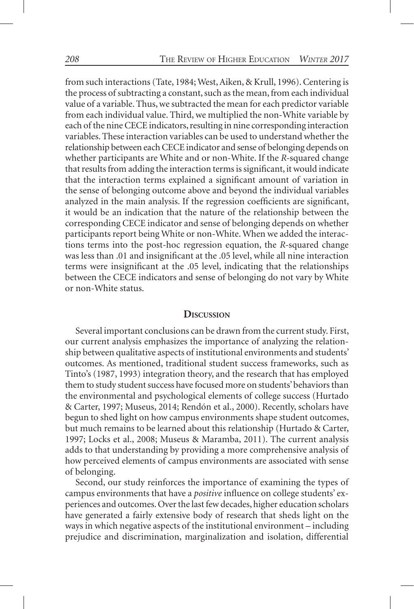from such interactions (Tate, 1984; West, Aiken, & Krull, 1996). Centering is the process of subtracting a constant, such as the mean, from each individual value of a variable. Thus, we subtracted the mean for each predictor variable from each individual value. Third, we multiplied the non-White variable by each of the nine CECE indicators, resulting in nine corresponding interaction variables. These interaction variables can be used to understand whether the relationship between each CECE indicator and sense of belonging depends on whether participants are White and or non-White. If the *R-*squared change that results from adding the interaction terms is significant, it would indicate that the interaction terms explained a significant amount of variation in the sense of belonging outcome above and beyond the individual variables analyzed in the main analysis. If the regression coefficients are significant, it would be an indication that the nature of the relationship between the corresponding CECE indicator and sense of belonging depends on whether participants report being White or non-White. When we added the interactions terms into the post-hoc regression equation, the *R-*squared change was less than .01 and insignificant at the .05 level, while all nine interaction terms were insignificant at the .05 level, indicating that the relationships between the CECE indicators and sense of belonging do not vary by White or non-White status.

#### **Discussion**

Several important conclusions can be drawn from the current study. First, our current analysis emphasizes the importance of analyzing the relationship between qualitative aspects of institutional environments and students' outcomes. As mentioned, traditional student success frameworks, such as Tinto's (1987, 1993) integration theory, and the research that has employed them to study student success have focused more on students' behaviors than the environmental and psychological elements of college success (Hurtado & Carter, 1997; Museus, 2014; Rendón et al., 2000). Recently, scholars have begun to shed light on how campus environments shape student outcomes, but much remains to be learned about this relationship (Hurtado & Carter, 1997; Locks et al., 2008; Museus & Maramba, 2011). The current analysis adds to that understanding by providing a more comprehensive analysis of how perceived elements of campus environments are associated with sense of belonging.

Second, our study reinforces the importance of examining the types of campus environments that have a *positive* influence on college students' experiences and outcomes. Over the last few decades, higher education scholars have generated a fairly extensive body of research that sheds light on the ways in which negative aspects of the institutional environment – including prejudice and discrimination, marginalization and isolation, differential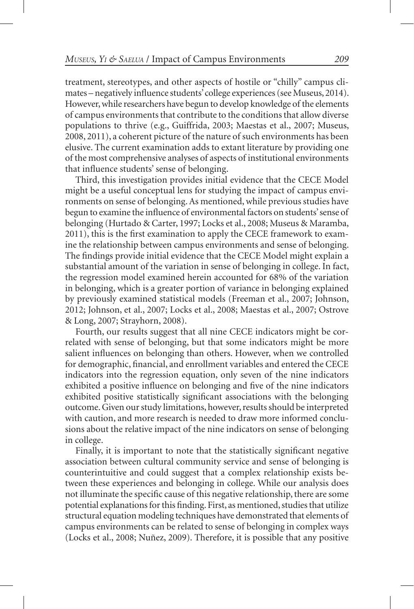treatment, stereotypes, and other aspects of hostile or "chilly" campus climates – negatively influence students' college experiences (see Museus, 2014). However, while researchers have begun to develop knowledge of the elements of campus environments that contribute to the conditions that allow diverse populations to thrive (e.g., Guiffrida, 2003; Maestas et al., 2007; Museus, 2008, 2011), a coherent picture of the nature of such environments has been elusive. The current examination adds to extant literature by providing one of the most comprehensive analyses of aspects of institutional environments that influence students' sense of belonging.

Third, this investigation provides initial evidence that the CECE Model might be a useful conceptual lens for studying the impact of campus environments on sense of belonging. As mentioned, while previous studies have begun to examine the influence of environmental factors on students' sense of belonging (Hurtado & Carter, 1997; Locks et al., 2008; Museus & Maramba, 2011), this is the first examination to apply the CECE framework to examine the relationship between campus environments and sense of belonging. The findings provide initial evidence that the CECE Model might explain a substantial amount of the variation in sense of belonging in college. In fact, the regression model examined herein accounted for 68% of the variation in belonging, which is a greater portion of variance in belonging explained by previously examined statistical models (Freeman et al., 2007; Johnson, 2012; Johnson, et al., 2007; Locks et al., 2008; Maestas et al., 2007; Ostrove & Long, 2007; Strayhorn, 2008).

Fourth, our results suggest that all nine CECE indicators might be correlated with sense of belonging, but that some indicators might be more salient influences on belonging than others. However, when we controlled for demographic, financial, and enrollment variables and entered the CECE indicators into the regression equation, only seven of the nine indicators exhibited a positive influence on belonging and five of the nine indicators exhibited positive statistically significant associations with the belonging outcome. Given our study limitations, however, results should be interpreted with caution, and more research is needed to draw more informed conclusions about the relative impact of the nine indicators on sense of belonging in college.

Finally, it is important to note that the statistically significant negative association between cultural community service and sense of belonging is counterintuitive and could suggest that a complex relationship exists between these experiences and belonging in college. While our analysis does not illuminate the specific cause of this negative relationship, there are some potential explanations for this finding. First, as mentioned, studies that utilize structural equation modeling techniques have demonstrated that elements of campus environments can be related to sense of belonging in complex ways (Locks et al., 2008; Nuñez, 2009). Therefore, it is possible that any positive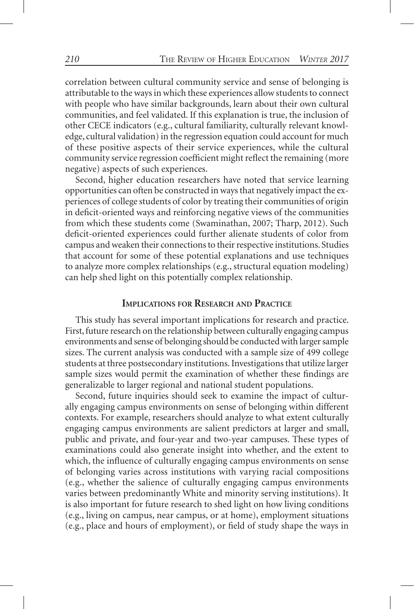correlation between cultural community service and sense of belonging is attributable to the ways in which these experiences allow students to connect with people who have similar backgrounds, learn about their own cultural communities, and feel validated. If this explanation is true, the inclusion of other CECE indicators (e.g., cultural familiarity, culturally relevant knowledge, cultural validation) in the regression equation could account for much of these positive aspects of their service experiences, while the cultural community service regression coefficient might reflect the remaining (more negative) aspects of such experiences.

Second, higher education researchers have noted that service learning opportunities can often be constructed in ways that negatively impact the experiences of college students of color by treating their communities of origin in deficit-oriented ways and reinforcing negative views of the communities from which these students come (Swaminathan, 2007; Tharp, 2012). Such deficit-oriented experiences could further alienate students of color from campus and weaken their connections to their respective institutions. Studies that account for some of these potential explanations and use techniques to analyze more complex relationships (e.g., structural equation modeling) can help shed light on this potentially complex relationship.

#### **Implications for Research and Practice**

This study has several important implications for research and practice. First, future research on the relationship between culturally engaging campus environments and sense of belonging should be conducted with larger sample sizes. The current analysis was conducted with a sample size of 499 college students at three postsecondary institutions. Investigations that utilize larger sample sizes would permit the examination of whether these findings are generalizable to larger regional and national student populations.

Second, future inquiries should seek to examine the impact of culturally engaging campus environments on sense of belonging within different contexts. For example, researchers should analyze to what extent culturally engaging campus environments are salient predictors at larger and small, public and private, and four-year and two-year campuses. These types of examinations could also generate insight into whether, and the extent to which, the influence of culturally engaging campus environments on sense of belonging varies across institutions with varying racial compositions (e.g., whether the salience of culturally engaging campus environments varies between predominantly White and minority serving institutions). It is also important for future research to shed light on how living conditions (e.g., living on campus, near campus, or at home), employment situations (e.g., place and hours of employment), or field of study shape the ways in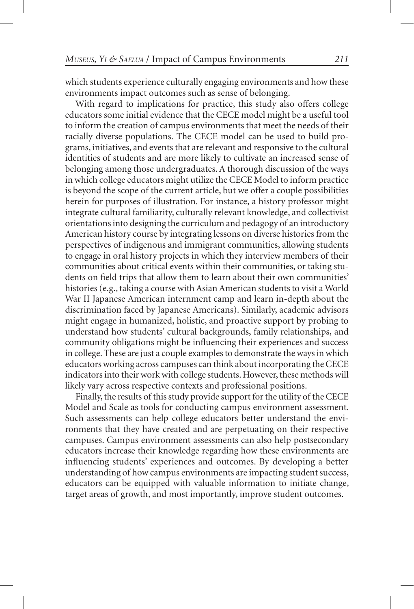which students experience culturally engaging environments and how these environments impact outcomes such as sense of belonging.

With regard to implications for practice, this study also offers college educators some initial evidence that the CECE model might be a useful tool to inform the creation of campus environments that meet the needs of their racially diverse populations. The CECE model can be used to build programs, initiatives, and events that are relevant and responsive to the cultural identities of students and are more likely to cultivate an increased sense of belonging among those undergraduates. A thorough discussion of the ways in which college educators might utilize the CECE Model to inform practice is beyond the scope of the current article, but we offer a couple possibilities herein for purposes of illustration. For instance, a history professor might integrate cultural familiarity, culturally relevant knowledge, and collectivist orientations into designing the curriculum and pedagogy of an introductory American history course by integrating lessons on diverse histories from the perspectives of indigenous and immigrant communities, allowing students to engage in oral history projects in which they interview members of their communities about critical events within their communities, or taking students on field trips that allow them to learn about their own communities' histories (e.g., taking a course with Asian American students to visit a World War II Japanese American internment camp and learn in-depth about the discrimination faced by Japanese Americans). Similarly, academic advisors might engage in humanized, holistic, and proactive support by probing to understand how students' cultural backgrounds, family relationships, and community obligations might be influencing their experiences and success in college. These are just a couple examples to demonstrate the ways in which educators working across campuses can think about incorporating the CECE indicators into their work with college students. However, these methods will likely vary across respective contexts and professional positions.

Finally, the results of this study provide support for the utility of the CECE Model and Scale as tools for conducting campus environment assessment. Such assessments can help college educators better understand the environments that they have created and are perpetuating on their respective campuses. Campus environment assessments can also help postsecondary educators increase their knowledge regarding how these environments are influencing students' experiences and outcomes. By developing a better understanding of how campus environments are impacting student success, educators can be equipped with valuable information to initiate change, target areas of growth, and most importantly, improve student outcomes.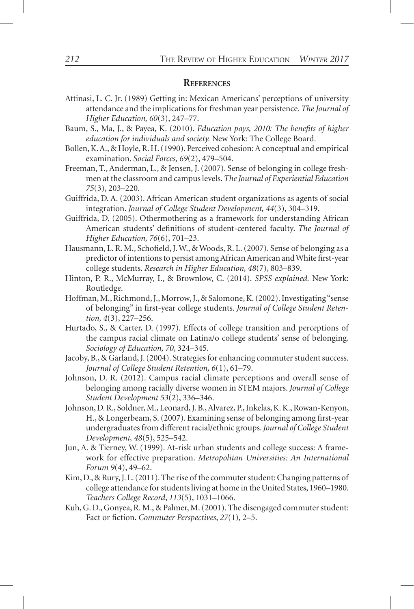#### **References**

- Attinasi, L. C. Jr. (1989) Getting in: Mexican Americans' perceptions of university attendance and the implications for freshman year persistence. *The Journal of Higher Education, 60*(3), 247–77.
- Baum, S., Ma, J., & Payea, K. (2010). *Education pays, 2010: The benefits of higher education for individuals and society.* New York: The College Board.
- Bollen, K. A., & Hoyle, R. H. (1990). Perceived cohesion: A conceptual and empirical examination. *Social Forces, 69*(2), 479–504.
- Freeman, T., Anderman, L., & Jensen, J. (2007). Sense of belonging in college freshmen at the classroom and campus levels. *The Journal of Experiential Education 75*(3), 203–220.
- Guiffrida, D. A. (2003). African American student organizations as agents of social integration. *Journal of College Student Development, 44*(3), 304–319.
- Guiffrida, D. (2005). Othermothering as a framework for understanding African American students' definitions of student-centered faculty. *The Journal of Higher Education, 76*(6), 701–23.
- Hausmann, L. R. M., Schofield, J. W., & Woods, R. L. (2007). Sense of belonging as a predictor of intentions to persist among African American and White first-year college students. *Research in Higher Education, 48*(7), 803–839.
- Hinton, P. R., McMurray, I., & Brownlow, C. (2014). *SPSS explained.* New York: Routledge.
- Hoffman, M., Richmond, J., Morrow, J., & Salomone, K. (2002). Investigating "sense of belonging" in first-year college students. *Journal of College Student Retention, 4*(3), 227–256.
- Hurtado, S., & Carter, D. (1997). Effects of college transition and perceptions of the campus racial climate on Latina/o college students' sense of belonging. *Sociology of Education, 70*, 324–345.
- Jacoby, B., & Garland, J. (2004). Strategies for enhancing commuter student success. *Journal of College Student Retention, 6*(1), 61–79.
- Johnson, D. R. (2012). Campus racial climate perceptions and overall sense of belonging among racially diverse women in STEM majors. *Journal of College Student Development 53*(2), 336–346.
- Johnson, D. R., Soldner, M., Leonard, J. B., Alvarez, P., Inkelas, K. K., Rowan-Kenyon, H., & Longerbeam, S. (2007). Examining sense of belonging among first-year undergraduates from different racial/ethnic groups. *Journal of College Student Development, 48*(5), 525–542.
- Jun, A. & Tierney, W. (1999). At-risk urban students and college success: A framework for effective preparation. *Metropolitan Universities: An International Forum 9*(4), 49–62.
- Kim, D., & Rury, J. L. (2011). The rise of the commuter student: Changing patterns of college attendance for students living at home in the United States, 1960–1980. *Teachers College Record*, *113*(5), 1031–1066.
- Kuh, G. D., Gonyea, R. M., & Palmer, M. (2001). The disengaged commuter student: Fact or fiction. *Commuter Perspectives*, *27*(1), 2–5.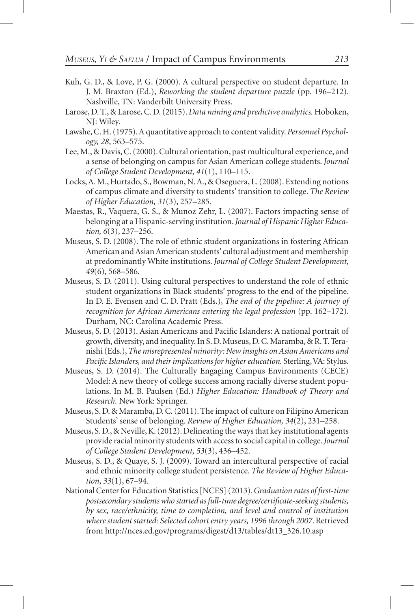- Kuh, G. D., & Love, P. G. (2000). A cultural perspective on student departure. In J. M. Braxton (Ed.), *Reworking the student departure puzzle* (pp. 196–212). Nashville, TN: Vanderbilt University Press.
- Larose, D. T., & Larose, C. D. (2015). *Data mining and predictive analytics.* Hoboken, NJ: Wiley.
- Lawshe, C. H. (1975). A quantitative approach to content validity. *Personnel Psychology, 28*, 563–575.
- Lee, M., & Davis, C. (2000). Cultural orientation, past multicultural experience, and a sense of belonging on campus for Asian American college students. *Journal of College Student Development, 41*(1), 110–115.
- Locks, A. M., Hurtado, S., Bowman, N. A., & Oseguera, L. (2008). Extending notions of campus climate and diversity to students' transition to college. *The Review of Higher Education, 31*(3), 257–285.
- Maestas, R., Vaquera, G. S., & Munoz Zehr, L. (2007). Factors impacting sense of belonging at a Hispanic-serving institution. *Journal of Hispanic Higher Education, 6*(3), 237–256.
- Museus, S. D. (2008). The role of ethnic student organizations in fostering African American and Asian American students' cultural adjustment and membership at predominantly White institutions. *Journal of College Student Development, 49*(6), 568–586*.*
- Museus, S. D. (2011). Using cultural perspectives to understand the role of ethnic student organizations in Black students' progress to the end of the pipeline. In D. E. Evensen and C. D. Pratt (Eds.), *The end of the pipeline: A journey of recognition for African Americans entering the legal profession (pp. 162–172).* Durham, NC: Carolina Academic Press.
- Museus, S. D. (2013). Asian Americans and Pacific Islanders: A national portrait of growth, diversity, and inequality. In S. D. Museus, D. C. Maramba, & R. T. Teranishi (Eds.), *The misrepresented minority: New insights on Asian Americans and Pacific Islanders, and their implications for higher education.* Sterling, VA: Stylus.
- Museus, S. D. (2014). The Culturally Engaging Campus Environments (CECE) Model: A new theory of college success among racially diverse student populations. In M. B. Paulsen (Ed.) *Higher Education: Handbook of Theory and Research.* New York: Springer.
- Museus, S. D. & Maramba, D. C. (2011). The impact of culture on Filipino American Students' sense of belonging. *Review of Higher Education, 34*(2), 231–258.
- Museus, S. D., & Neville, K. (2012). Delineating the ways that key institutional agents provide racial minority students with access to social capital in college. *Journal of College Student Development, 53*(3), 436–452.
- Museus, S. D., & Quaye, S. J. (2009). Toward an intercultural perspective of racial and ethnic minority college student persistence. *The Review of Higher Education*, *33*(1), 67–94.
- National Center for Education Statistics [NCES] (2013). *Graduation rates of first-time postsecondary students who started as full-time degree/certificate-seeking students, by sex, race/ethnicity, time to completion, and level and control of institution where student started: Selected cohort entry years, 1996 through 2007*. Retrieved from http://nces.ed.gov/programs/digest/d13/tables/dt13\_326.10.asp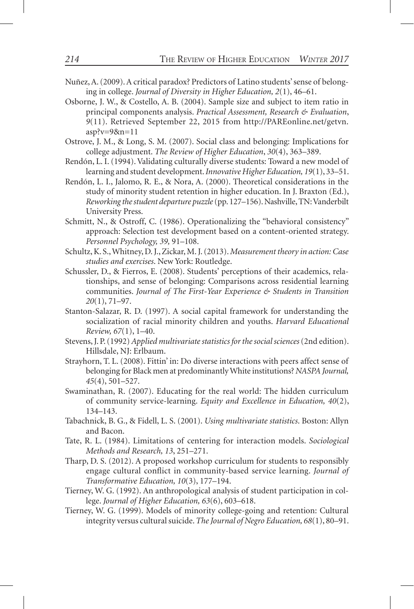- Nuñez, A. (2009). A critical paradox? Predictors of Latino students' sense of belonging in college. *Journal of Diversity in Higher Education, 2*(1), 46–61.
- Osborne, J. W., & Costello, A. B. (2004). Sample size and subject to item ratio in principal components analysis. *Practical Assessment, Research & Evaluation*, *9*(11). Retrieved September 22, 2015 from http://PAREonline.net/getvn. asp?v=9&n=11
- Ostrove, J. M., & Long, S. M. (2007). Social class and belonging: Implications for college adjustment. *The Review of Higher Education*, *30*(4), 363–389.
- Rendón, L. I. (1994). Validating culturally diverse students: Toward a new model of learning and student development. *Innovative Higher Education, 19*(1), 33–51.
- Rendón, L. I., Jalomo, R. E., & Nora, A. (2000). Theoretical considerations in the study of minority student retention in higher education. In J. Braxton (Ed.), *Reworking the student departure puzzle* (pp. 127–156). Nashville, TN: Vanderbilt University Press.
- Schmitt, N., & Ostroff, C. (1986). Operationalizing the "behavioral consistency" approach: Selection test development based on a content-oriented strategy. *Personnel Psychology, 39,* 91–108.
- Schultz, K. S., Whitney, D. J., Zickar, M. J. (2013). *Measurement theory in action: Case studies and exercises*. New York: Routledge.
- Schussler, D., & Fierros, E. (2008). Students' perceptions of their academics, relationships, and sense of belonging: Comparisons across residential learning communities. *Journal of The First-Year Experience & Students in Transition 20*(1), 71–97.
- Stanton-Salazar, R. D. (1997). A social capital framework for understanding the socialization of racial minority children and youths. *Harvard Educational Review, 67*(1), 1–40.
- Stevens, J. P. (1992) *Applied multivariate statistics for the social sciences* (2nd edition). Hillsdale, NJ: Erlbaum.
- Strayhorn, T. L. (2008). Fittin' in: Do diverse interactions with peers affect sense of belonging for Black men at predominantly White institutions? *NASPA Journal, 45*(4), 501–527.
- Swaminathan, R. (2007). Educating for the real world: The hidden curriculum of community service-learning. *Equity and Excellence in Education, 40*(2), 134–143.
- Tabachnick, B. G., & Fidell, L. S. (2001). *Using multivariate statistics*. Boston: Allyn and Bacon.
- Tate, R. L. (1984). Limitations of centering for interaction models. *Sociological Methods and Research, 13*, 251–271.
- Tharp, D. S. (2012). A proposed workshop curriculum for students to responsibly engage cultural conflict in community-based service learning. *Journal of Transformative Education, 10*(3), 177–194.
- Tierney, W. G. (1992). An anthropological analysis of student participation in college. *Journal of Higher Education, 63*(6), 603–618.
- Tierney, W. G. (1999). Models of minority college-going and retention: Cultural integrity versus cultural suicide. *The Journal of Negro Education, 68*(1), 80–91.